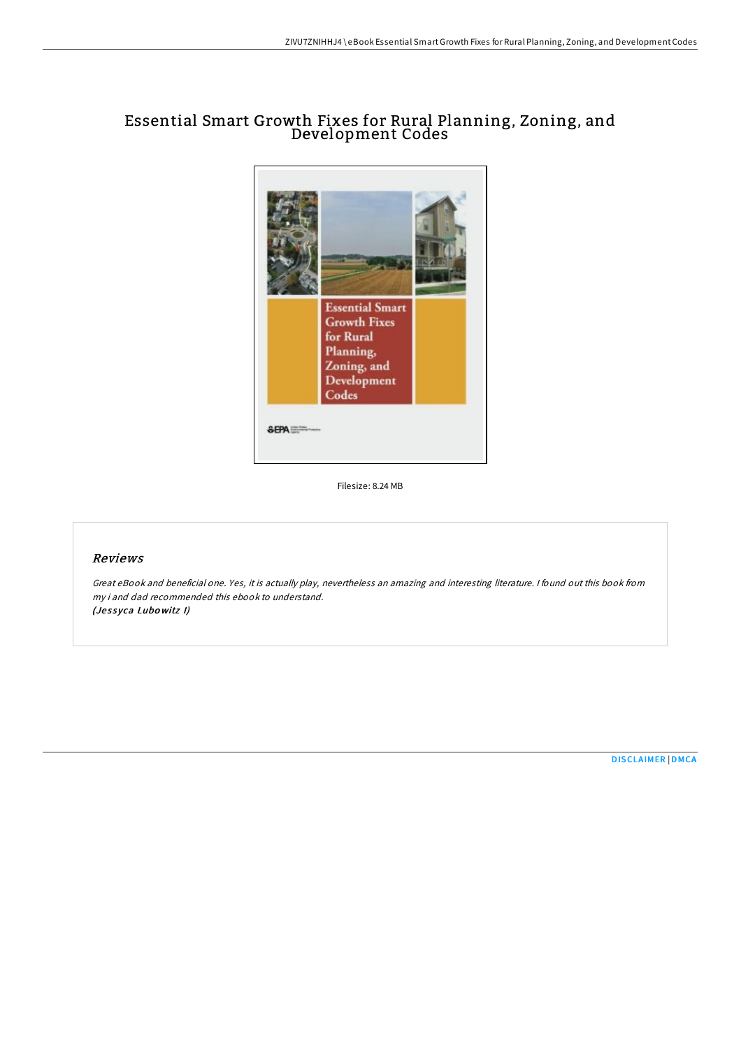## Essential Smart Growth Fixes for Rural Planning, Zoning, and Development Codes



Filesize: 8.24 MB

## Reviews

Great eBook and beneficial one. Yes, it is actually play, nevertheless an amazing and interesting literature. <sup>I</sup> found out this book from my i and dad recommended this ebook to understand. (Jessyca Lubowitz I)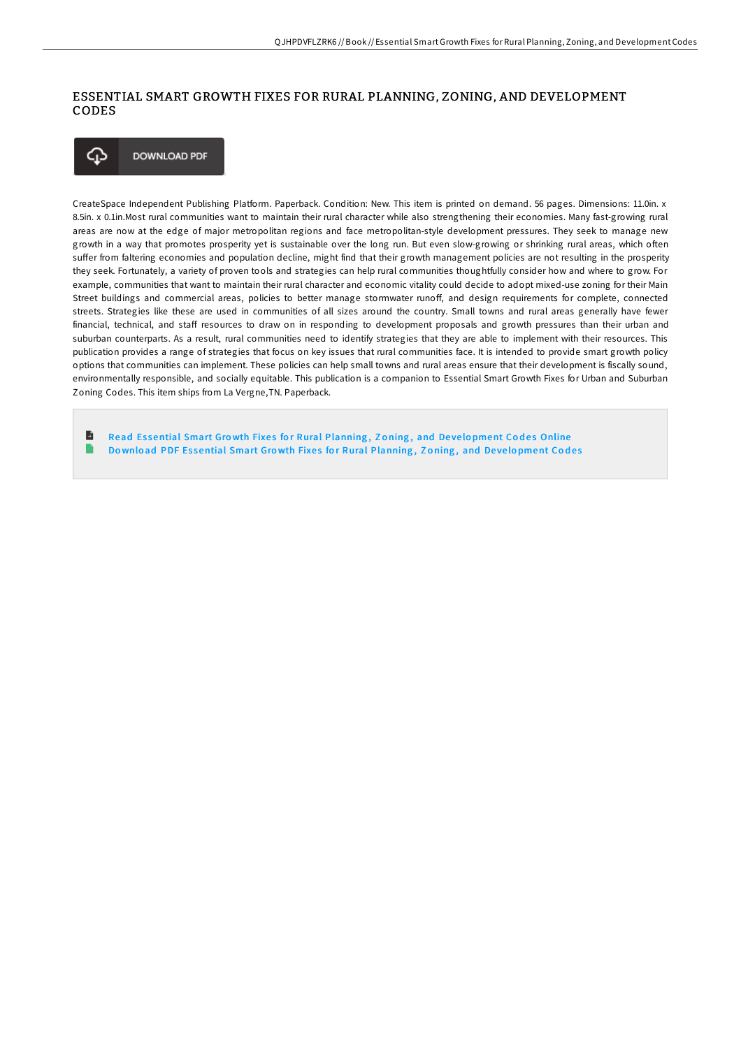## ESSENTIAL SMART GROWTH FIXES FOR RURAL PLANNING, ZONING, AND DEVELOPMENT CODES



CreateSpace Independent Publishing Platform. Paperback. Condition: New. This item is printed on demand. 56 pages. Dimensions: 11.0in. x 8.5in. x 0.1in.Most rural communities want to maintain their rural character while also strengthening their economies. Many fast-growing rural areas are now at the edge of major metropolitan regions and face metropolitan-style development pressures. They seek to manage new growth in a way that promotes prosperity yet is sustainable over the long run. But even slow-growing or shrinking rural areas, which often suffer from faltering economies and population decline, might find that their growth management policies are not resulting in the prosperity they seek. Fortunately, a variety of proven tools and strategies can help rural communities thoughtfully consider how and where to grow. For example, communities that want to maintain their rural character and economic vitality could decide to adopt mixed-use zoning for their Main Street buildings and commercial areas, policies to better manage stormwater runoff, and design requirements for complete, connected streets. Strategies like these are used in communities of all sizes around the country. Small towns and rural areas generally have fewer financial, technical, and staff resources to draw on in responding to development proposals and growth pressures than their urban and suburban counterparts. As a result, rural communities need to identify strategies that they are able to implement with their resources. This publication provides a range of strategies that focus on key issues that rural communities face. It is intended to provide smart growth policy options that communities can implement. These policies can help small towns and rural areas ensure that their development is fiscally sound, environmentally responsible, and socially equitable. This publication is a companion to Essential Smart Growth Fixes for Urban and Suburban Zoning Codes. This item ships from La Vergne,TN. Paperback.

B Read Essential Smart Growth Fixes for Rural [Planning](http://almighty24.tech/essential-smart-growth-fixes-for-rural-planning-.html), Zoning, and Development Codes Online  $\ensuremath{\mathop{\rule{0pt}{0pt}}\nolimits^{\triangleleft}}$ Download PDF Essential Smart Growth Fixes for Rural [Planning](http://almighty24.tech/essential-smart-growth-fixes-for-rural-planning-.html), Zoning, and Development Codes